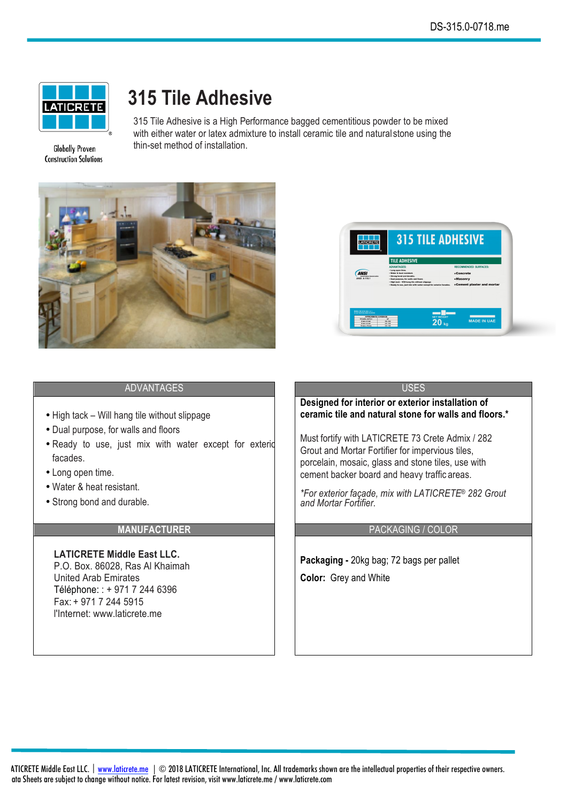

# **315 Tile Adhesive**

**Globally Proven Construction Solutions** 

315 Tile Adhesive is a High Performance bagged cementitious powder to be mixed with either water or latex admixture to install ceramic tile and natural stone using the thin-set method of installation.





#### ADVANTAGES USES AND A SERVICE SERVICE SERVICE SERVICE SERVICE SERVICE SERVICE SERVICE SERVICE SERVICE SERVICE

- High tack Will hang tile without slippage
- Dual purpose, for walls and floors
- Ready to use, just mix with water except for exterior facades.
- Long open time.
- Water & heat resistant.
- Strong bond and durable.

#### **LATICRETE Middle East LLC.**

P.O. Box. 86028, Ras Al Khaimah United Arab Emirates Téléphone: : + 971 7 244 6396 Fax: + 971 7 244 5915 l'Internet: [www.laticrete.me](http://www.laticrete.com/)

**Designed for interior or exterior installation of ceramic tile and natural stone for walls and floors.\***

Must fortify with LATICRETE 73 Crete Admix / 282 Grout and Mortar Fortifier for impervious tiles, porcelain, mosaic, glass and stone tiles, use with cement backer board and heavy traffic areas.

*\*For exterior façade, mix with LATICRETE® 282 Grout and Mortar Fortifier.*

#### **MANUFACTURER PACKAGING / COLOR**

**Packaging -** 20kg bag; 72 bags per pallet **Color:** Grey and White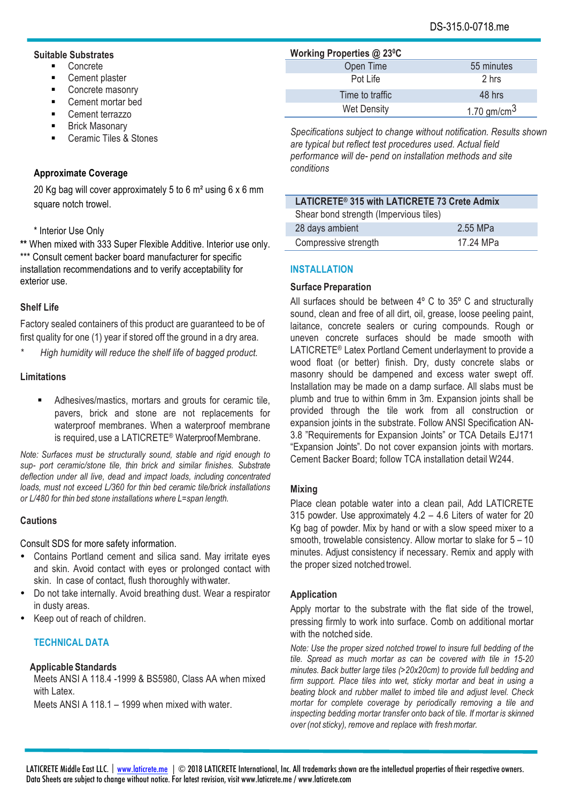#### **Suitable Substrates**

- Concrete
- § Cement plaster
- Concrete masonry
- § Cement mortar bed
- § Cement terrazzo
- § Brick Masonary
- § Ceramic Tiles & Stones

#### **Approximate Coverage**

20 Kg bag will cover approximately 5 to 6 m² using 6 x 6 mm square notch trowel.

\* Interior Use Only

**\*\*** When mixed with 333 Super Flexible Additive. Interior use only. \*\*\* Consult cement backer board manufacturer for specific installation recommendations and to verify acceptability for exterior use.

#### **Shelf Life**

Factory sealed containers of this product are guaranteed to be of first quality for one (1) year if stored off the ground in a dry area.

*\* High humidity will reduce the shelf life of bagged product.*

#### **Limitations**

■ Adhesives/mastics, mortars and grouts for ceramic tile, pavers, brick and stone are not replacements for waterproof membranes. When a waterproof membrane is required, use a LATICRETE® WaterproofMembrane.

*Note: Surfaces must be structurally sound, stable and rigid enough to sup- port ceramic/stone tile, thin brick and similar finishes. Substrate deflection under all live, dead and impact loads, including concentrated loads, must not exceed L/360 for thin bed ceramic tile/brick installations or L/480 for thin bed stone installations where L=span length.*

### **Cautions**

Consult SDS for more safety information.

- Contains Portland cement and silica sand. May irritate eyes and skin. Avoid contact with eyes or prolonged contact with skin. In case of contact, flush thoroughly withwater.
- Do not take internally. Avoid breathing dust. Wear a respirator in dusty areas.
- Keep out of reach of children.

# **TECHNICAL DATA**

# **Applicable Standards**

Meets ANSI A 118.4 -1999 & BS5980, Class AA when mixed with Latex.

Meets ANSI A 118.1 – 1999 when mixed with water.

| <b>Working Properties @ 23°C</b> |
|----------------------------------|
|----------------------------------|

| Open Time          | 55 minutes              |
|--------------------|-------------------------|
| Pot Life           | 2 hrs                   |
| Time to traffic    | 48 hrs                  |
| <b>Wet Density</b> | 1.70 gm/cm <sup>3</sup> |

*Specifications subject to change without notification. Results shown are typical but reflect test procedures used. Actual field performance will de- pend on installation methods and site conditions*

| LATICRETE <sup>®</sup> 315 with LATICRETE 73 Crete Admix |           |  |
|----------------------------------------------------------|-----------|--|
| Shear bond strength (Impervious tiles)                   |           |  |
| 28 days ambient                                          | 2.55 MPa  |  |
| Compressive strength                                     | 17.24 MPa |  |

#### **INSTALLATION**

#### **Surface Preparation**

All surfaces should be between 4º C to 35º C and structurally sound, clean and free of all dirt, oil, grease, loose peeling paint, laitance, concrete sealers or curing compounds. Rough or uneven concrete surfaces should be made smooth with LATICRETE® Latex Portland Cement underlayment to provide a wood float (or better) finish. Dry, dusty concrete slabs or masonry should be dampened and excess water swept off. Installation may be made on a damp surface. All slabs must be plumb and true to within 6mm in 3m. Expansion joints shall be provided through the tile work from all construction or expansion joints in the substrate. Follow ANSI Specification AN-3.8 "Requirements for Expansion Joints" or TCA Details EJ171 "Expansion Joints". Do not cover expansion joints with mortars. Cement Backer Board; follow TCA installation detail W244.

#### **Mixing**

Place clean potable water into a clean pail, Add LATICRETE 315 powder. Use approximately 4.2 – 4.6 Liters of water for 20 Kg bag of powder. Mix by hand or with a slow speed mixer to a smooth, trowelable consistency. Allow mortar to slake for 5 – 10 minutes. Adjust consistency if necessary. Remix and apply with the proper sized notchedtrowel.

### **Application**

Apply mortar to the substrate with the flat side of the trowel, pressing firmly to work into surface. Comb on additional mortar with the notched side.

*Note: Use the proper sized notched trowel to insure full bedding of the tile. Spread as much mortar as can be covered with tile in 15-20 minutes. Back butter large tiles (>20x20cm) to provide full bedding and firm support. Place tiles into wet, sticky mortar and beat in using a beating block and rubber mallet to imbed tile and adjust level. Check mortar for complete coverage by periodically removing a tile and inspecting bedding mortar transfer onto back of tile. If mortar is skinned over (not sticky), remove and replace with freshmortar.*